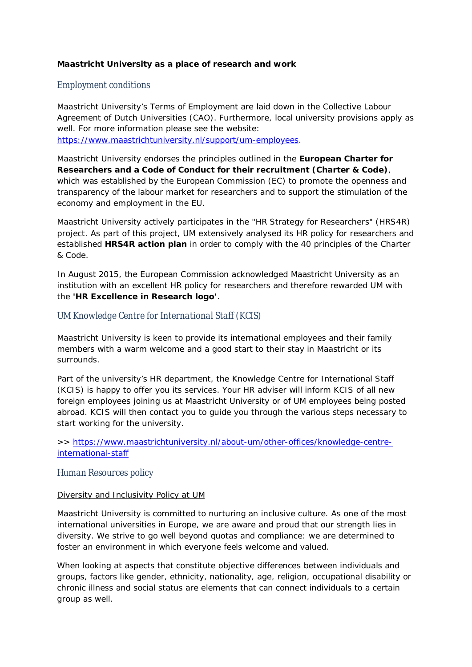**Maastricht University as a place of research and work**

# *Employment conditions*

Maastricht University's Terms of Employment are laid down in the Collective Labour Agreement of Dutch Universities (CAO). Furthermore, local university provisions apply as well. For more information please see the website: https://www.maastrichtuniversity.nl/support/um-employees.

Maastricht University endorses the principles outlined in the **European Charter for Researchers and a Code of Conduct for their recruitment (Charter & Code)**, which was established by the European Commission (EC) to promote the openness and transparency of the labour market for researchers and to support the stimulation of the economy and employment in the EU.

Maastricht University actively participates in the "HR Strategy for Researchers" (HRS4R) project. As part of this project, UM extensively analysed its HR policy for researchers and established **HRS4R action plan** in order to comply with the 40 principles of the Charter & Code.

In August 2015, the European Commission acknowledged Maastricht University as an institution with an excellent HR policy for researchers and therefore rewarded UM with the **'HR Excellence in Research logo'**.

# *UM Knowledge Centre for International Staff (KCIS)*

Maastricht University is keen to provide its international employees and their family members with a warm welcome and a good start to their stay in Maastricht or its surrounds.

Part of the university's HR department, the Knowledge Centre for International Staff (KCIS) is happy to offer you its services. Your HR adviser will inform KCIS of all new foreign employees joining us at Maastricht University or of UM employees being posted abroad. KCIS will then contact you to guide you through the various steps necessary to start working for the university.

>> https://www.maastrichtuniversity.nl/about-um/other-offices/knowledge-centreinternational-staff

## *Human Resources policy*

#### Diversity and Inclusivity Policy at UM

Maastricht University is committed to nurturing an inclusive culture. As one of the most international universities in Europe, we are aware and proud that our strength lies in diversity. We strive to go well beyond quotas and compliance: we are determined to foster an environment in which everyone feels welcome and valued.

When looking at aspects that constitute objective differences between individuals and groups, factors like gender, ethnicity, nationality, age, religion, occupational disability or chronic illness and social status are elements that can connect individuals to a certain group as well.